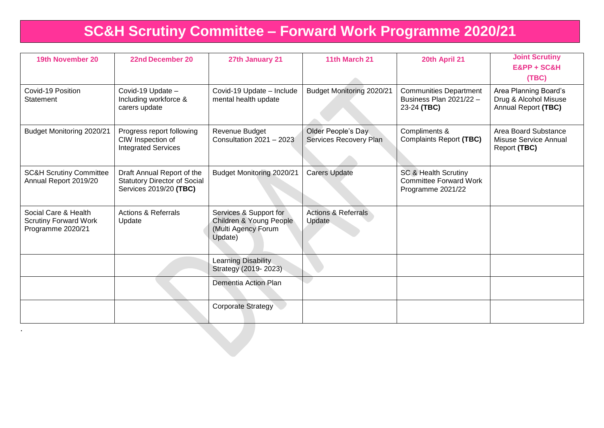# **SC&H Scrutiny Committee – Forward Work Programme 2020/21**

| 19th November 20                                                          | <b>22nd December 20</b>                                                                     | 27th January 21                                                                     | 11th March 21                                | 20th April 21                                                                         | <b>Joint Scrutiny</b><br>E&PP + SC&H<br>(TBC)                         |
|---------------------------------------------------------------------------|---------------------------------------------------------------------------------------------|-------------------------------------------------------------------------------------|----------------------------------------------|---------------------------------------------------------------------------------------|-----------------------------------------------------------------------|
| Covid-19 Position<br>Statement                                            | Covid-19 Update -<br>Including workforce &<br>carers update                                 | Covid-19 Update - Include<br>mental health update                                   | <b>Budget Monitoring 2020/21</b>             | <b>Communities Department</b><br>Business Plan 2021/22 -<br>23-24 (TBC)               | Area Planning Board's<br>Drug & Alcohol Misuse<br>Annual Report (TBC) |
| Budget Monitoring 2020/21                                                 | Progress report following<br>CIW Inspection of<br><b>Integrated Services</b>                | Revenue Budget<br>Consultation 2021 - 2023                                          | Older People's Day<br>Services Recovery Plan | Compliments &<br><b>Complaints Report (TBC)</b>                                       | Area Board Substance<br><b>Misuse Service Annual</b><br>Report (TBC)  |
| <b>SC&amp;H Scrutiny Committee</b><br>Annual Report 2019/20               | Draft Annual Report of the<br><b>Statutory Director of Social</b><br>Services 2019/20 (TBC) | Budget Monitoring 2020/21                                                           | <b>Carers Update</b>                         | <b>SC &amp; Health Scrutiny</b><br><b>Committee Forward Work</b><br>Programme 2021/22 |                                                                       |
| Social Care & Health<br><b>Scrutiny Forward Work</b><br>Programme 2020/21 | <b>Actions &amp; Referrals</b><br>Update                                                    | Services & Support for<br>Children & Young People<br>(Multi Agency Forum<br>Update) | <b>Actions &amp; Referrals</b><br>Update     |                                                                                       |                                                                       |
|                                                                           |                                                                                             | Learning Disability<br>Strategy (2019-2023)                                         |                                              |                                                                                       |                                                                       |
|                                                                           |                                                                                             | Dementia Action Plan                                                                |                                              |                                                                                       |                                                                       |
|                                                                           |                                                                                             | <b>Corporate Strategy</b>                                                           |                                              |                                                                                       |                                                                       |

.